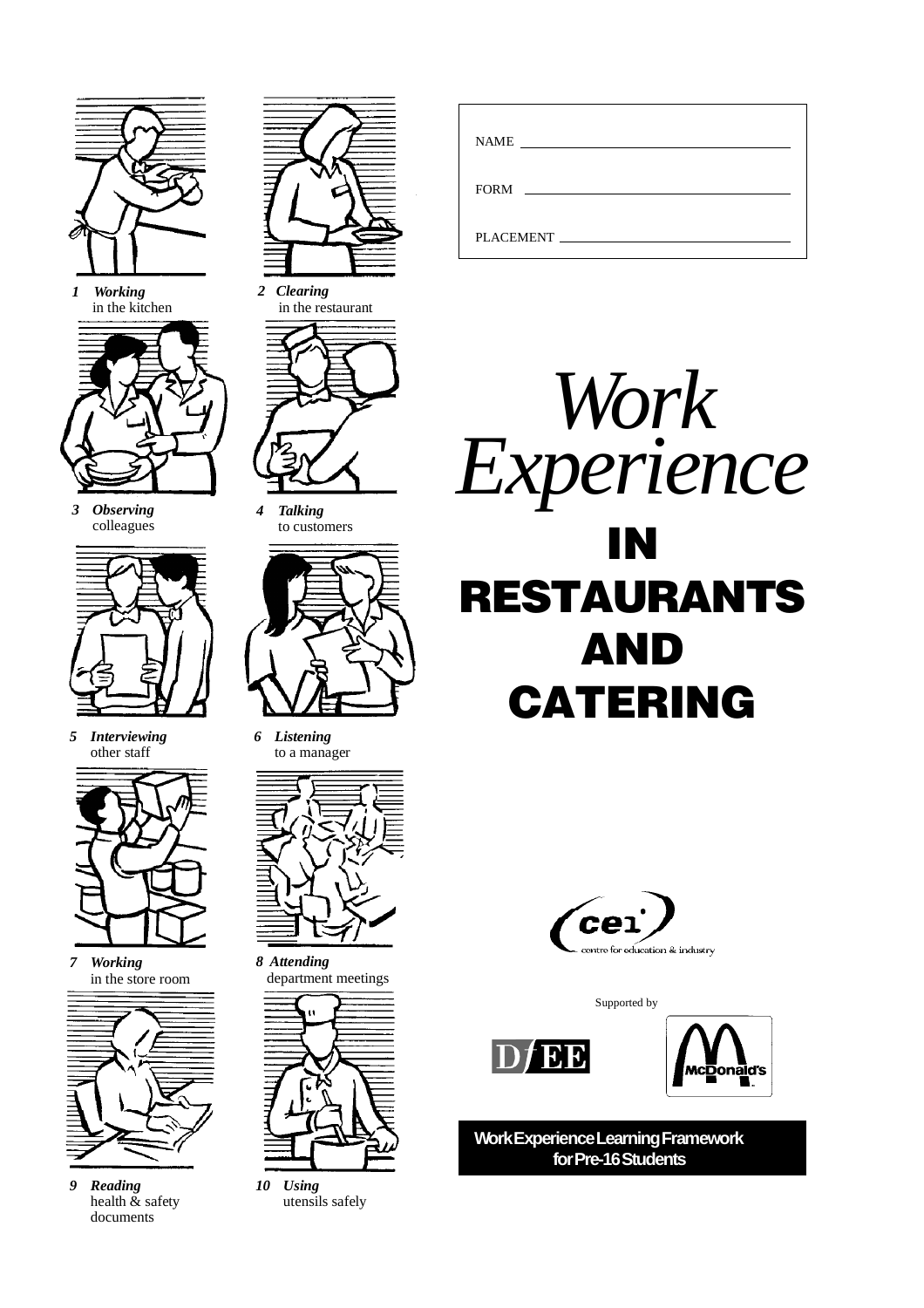

*1 Working* in the kitchen



*3 Observing* colleagues



*5 Interviewing* other staff



*7 Working* in the store room



*9 Reading* health & safety documents



*2 Clearing* in the restaurant



*4 Talking* to customers



*6 Listening* to a manager



*8 Attending* department meetings



*10 Using* utensils safely

| NAME<br><u> 1989 - John Stein, Amerikaansk politiker (</u> |  |
|------------------------------------------------------------|--|
|                                                            |  |
| PLACEMENT                                                  |  |





Supported by





**Work Experience Learning Framework for Pre-16 Students**